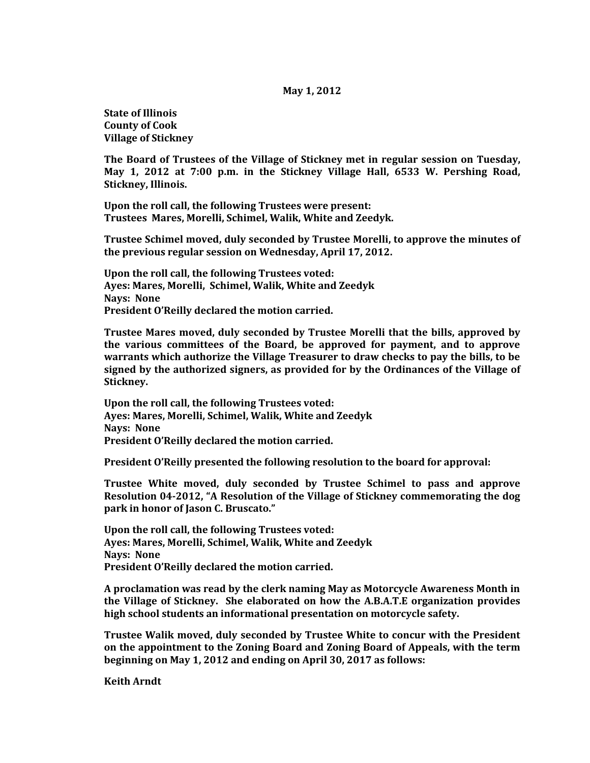## **May 1, 2012**

**State of Illinois County of Cook Village of Stickney**

**The Board of Trustees of the Village of Stickney met in regular session on Tuesday, May 1, 2012 at 7:00 p.m. in the Stickney Village Hall, 6533 W. Pershing Road, Stickney, Illinois.**

**Upon the roll call, the following Trustees were present: Trustees Mares, Morelli, Schimel, Walik, White and Zeedyk.** 

**Trustee Schimel moved, duly seconded by Trustee Morelli, to approve the minutes of the previous regular session on Wednesday, April 17, 2012.**

**Upon the roll call, the following Trustees voted: Ayes: Mares, Morelli, Schimel, Walik, White and Zeedyk Nays: None President O'Reilly declared the motion carried.**

**Trustee Mares moved, duly seconded by Trustee Morelli that the bills, approved by the various committees of the Board, be approved for payment, and to approve warrants which authorize the Village Treasurer to draw checks to pay the bills, to be signed by the authorized signers, as provided for by the Ordinances of the Village of Stickney.**

**Upon the roll call, the following Trustees voted: Ayes: Mares, Morelli, Schimel, Walik, White and Zeedyk Nays: None President O'Reilly declared the motion carried.**

**President O'Reilly presented the following resolution to the board for approval:**

**Trustee White moved, duly seconded by Trustee Schimel to pass and approve Resolution 04-2012, "A Resolution of the Village of Stickney commemorating the dog park in honor of Jason C. Bruscato."**

**Upon the roll call, the following Trustees voted: Ayes: Mares, Morelli, Schimel, Walik, White and Zeedyk Nays: None President O'Reilly declared the motion carried.**

**A proclamation was read by the clerk naming May as Motorcycle Awareness Month in the Village of Stickney. She elaborated on how the A.B.A.T.E organization provides high school students an informational presentation on motorcycle safety.** 

**Trustee Walik moved, duly seconded by Trustee White to concur with the President on the appointment to the Zoning Board and Zoning Board of Appeals, with the term beginning on May 1, 2012 and ending on April 30, 2017 as follows:**

**Keith Arndt**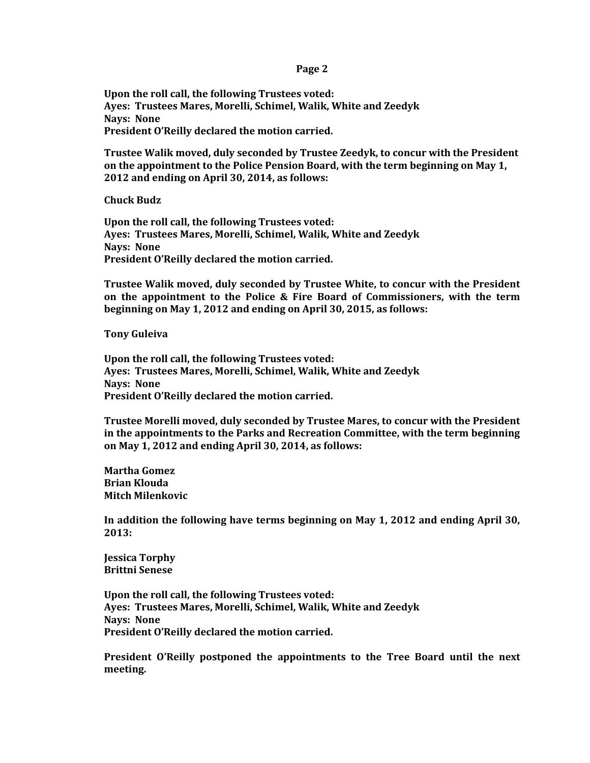## **Page 2**

**Upon the roll call, the following Trustees voted: Ayes: Trustees Mares, Morelli, Schimel, Walik, White and Zeedyk Nays: None President O'Reilly declared the motion carried.** 

**Trustee Walik moved, duly seconded by Trustee Zeedyk, to concur with the President on the appointment to the Police Pension Board, with the term beginning on May 1, 2012 and ending on April 30, 2014, as follows:**

**Chuck Budz**

**Upon the roll call, the following Trustees voted: Ayes: Trustees Mares, Morelli, Schimel, Walik, White and Zeedyk Nays: None President O'Reilly declared the motion carried.** 

**Trustee Walik moved, duly seconded by Trustee White, to concur with the President on the appointment to the Police & Fire Board of Commissioners, with the term beginning on May 1, 2012 and ending on April 30, 2015, as follows:**

**Tony Guleiva**

**Upon the roll call, the following Trustees voted: Ayes: Trustees Mares, Morelli, Schimel, Walik, White and Zeedyk Nays: None President O'Reilly declared the motion carried.** 

**Trustee Morelli moved, duly seconded by Trustee Mares, to concur with the President in the appointments to the Parks and Recreation Committee, with the term beginning on May 1, 2012 and ending April 30, 2014, as follows:**

**Martha Gomez Brian Klouda Mitch Milenkovic**

**In addition the following have terms beginning on May 1, 2012 and ending April 30, 2013:**

**Jessica Torphy Brittni Senese**

**Upon the roll call, the following Trustees voted: Ayes: Trustees Mares, Morelli, Schimel, Walik, White and Zeedyk Nays: None President O'Reilly declared the motion carried.** 

**President O'Reilly postponed the appointments to the Tree Board until the next meeting.**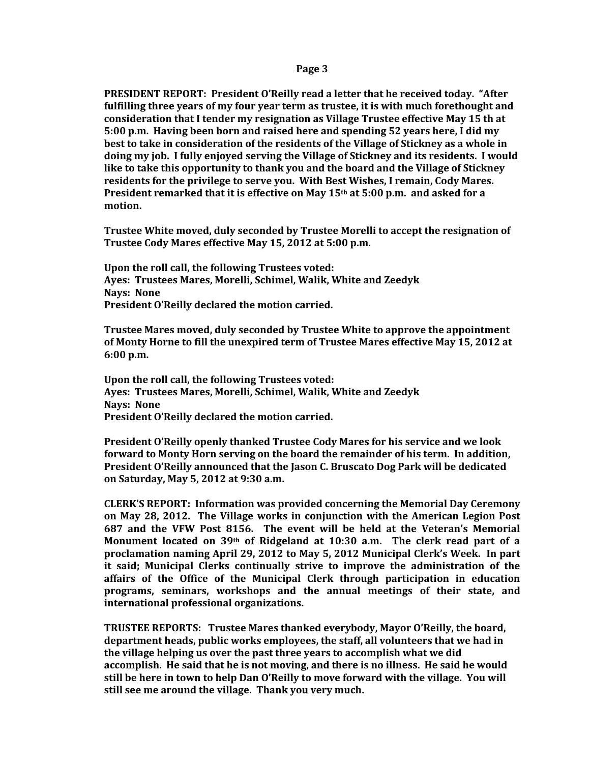## **Page 3**

**PRESIDENT REPORT: President O'Reilly read a letter that he received today. "After fulfilling three years of my four year term as trustee, it is with much forethought and consideration that I tender my resignation as Village Trustee effective May 15 th at 5:00 p.m. Having been born and raised here and spending 52 years here, I did my best to take in consideration of the residents of the Village of Stickney as a whole in doing my job. I fully enjoyed serving the Village of Stickney and its residents. I would like to take this opportunity to thank you and the board and the Village of Stickney residents for the privilege to serve you. With Best Wishes, I remain, Cody Mares. President remarked that it is effective on May 15th at 5:00 p.m. and asked for a motion.**

**Trustee White moved, duly seconded by Trustee Morelli to accept the resignation of Trustee Cody Mares effective May 15, 2012 at 5:00 p.m.** 

**Upon the roll call, the following Trustees voted: Ayes: Trustees Mares, Morelli, Schimel, Walik, White and Zeedyk Nays: None President O'Reilly declared the motion carried.** 

**Trustee Mares moved, duly seconded by Trustee White to approve the appointment of Monty Horne to fill the unexpired term of Trustee Mares effective May 15, 2012 at 6:00 p.m.**

**Upon the roll call, the following Trustees voted: Ayes: Trustees Mares, Morelli, Schimel, Walik, White and Zeedyk Nays: None President O'Reilly declared the motion carried.** 

**President O'Reilly openly thanked Trustee Cody Mares for his service and we look forward to Monty Horn serving on the board the remainder of his term. In addition, President O'Reilly announced that the Jason C. Bruscato Dog Park will be dedicated on Saturday, May 5, 2012 at 9:30 a.m.**

**CLERK'S REPORT: Information was provided concerning the Memorial Day Ceremony on May 28, 2012. The Village works in conjunction with the American Legion Post 687 and the VFW Post 8156. The event will be held at the Veteran's Memorial Monument located on 39th of Ridgeland at 10:30 a.m. The clerk read part of a proclamation naming April 29, 2012 to May 5, 2012 Municipal Clerk's Week. In part it said; Municipal Clerks continually strive to improve the administration of the affairs of the Office of the Municipal Clerk through participation in education programs, seminars, workshops and the annual meetings of their state, and international professional organizations.** 

**TRUSTEE REPORTS: Trustee Mares thanked everybody, Mayor O'Reilly, the board, department heads, public works employees, the staff, all volunteers that we had in the village helping us over the past three years to accomplish what we did accomplish. He said that he is not moving, and there is no illness. He said he would still be here in town to help Dan O'Reilly to move forward with the village. You will still see me around the village. Thank you very much.**